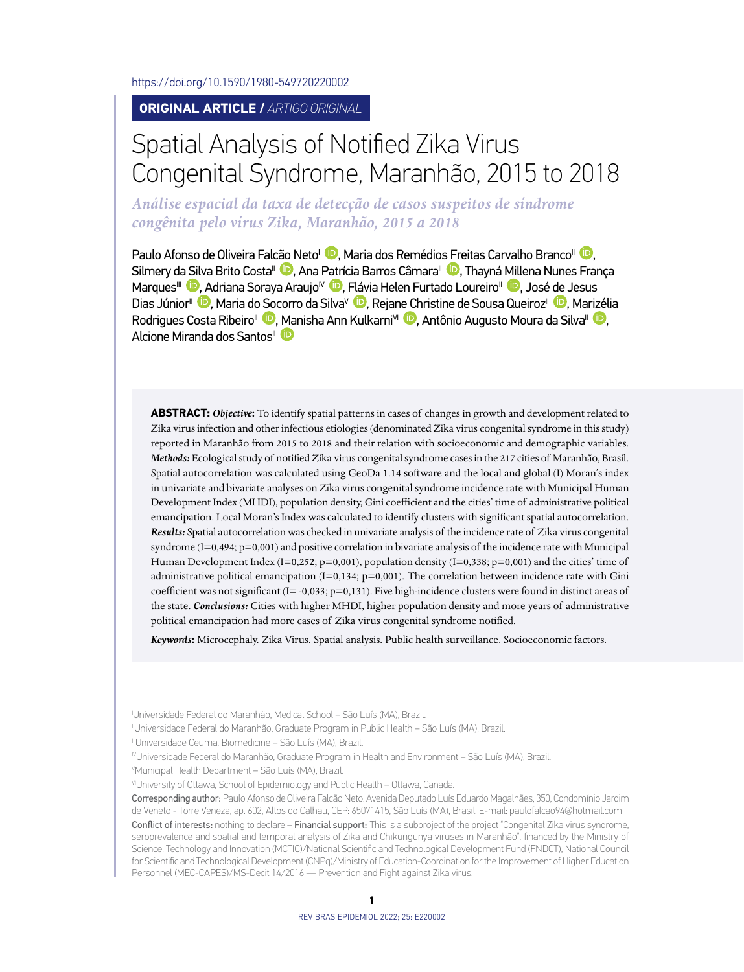https://doi.org/10.1590/1980-549720220002

#### **ORIGINAL ARTICLE /** *ARTIGO ORIGINAL*

# Spatial Analysis of Notified Zika Virus Congenital Syndrome, Maranhão, 2015 to 2018

*Análise espacial da taxa de detecção de casos suspeitos de síndrome congênita pelo vírus Zika, Maranhão, 2015 a 2018*

Paulo Afonso de Oliveira Fa[lcão N](https://orcid.org/0000-0002-4733-8215)eto<sup>l (D</sup>. Maria dos Remédi[os Fre](https://orcid.org/0000-0002-2370-0347)itas Carvalho Branco<sup>II</sup> <sup>(D</sup>. Silmery [da Silv](https://orcid.org/0000-0003-2895-7616)a Brito Costa<sup>II</sup> D, Ana [Patríc](https://orcid.org/0000-0002-1119-5988)ia Barros Câmara<sup>II</sup> D, Thayn[á Mille](https://orcid.org/0000-0001-5847-6130)na Nunes França Marques<sup>III</sup> D[, Ad](https://orcid.org/0000-0002-9143-0852)riana Soraya Araujo<sup>iv D</sup>[, Flávi](https://orcid.org/0000-0001-8765-7205)a Helen Furtado Loureiro<sup>II</sup> D, Jos[é de J](http://orcid.org/0000-0003-4019-2011)esus Dias Júnior<sup>ii</sup> <sup>(D</sup>, Maria d[o Soc](http://orcid.org/0000-0003-4289-4527)orro da Silva<sup>y (D</sup>, Reja[ne Ch](https://orcid.org/0000-0002-5084-4960)ristine de Sousa Queiroz<sup>ii (D</sup>, M[arizél](http://orcid.org/0000-0003-4968-5138)ia Rodrigues Costa Ribeiro<sup>II</sup> D[, Man](https://orcid.org/0000-0001-9711-0182)isha Ann Kulkarni<sup>vi</sup> D, Antônio Augusto Moura da Silva<sup>II</sup> D, Alcione Miranda dos Santos<sup>"</sup>

**ABSTRACT:** *Objective***:** To identify spatial patterns in cases of changes in growth and development related to Zika virus infection and other infectious etiologies (denominated Zika virus congenital syndrome in this study) reported in Maranhão from 2015 to 2018 and their relation with socioeconomic and demographic variables. *Methods:* Ecological study of notified Zika virus congenital syndrome cases in the 217 cities of Maranhão, Brasil. Spatial autocorrelation was calculated using GeoDa 1.14 software and the local and global (I) Moran's index in univariate and bivariate analyses on Zika virus congenital syndrome incidence rate with Municipal Human Development Index (MHDI), population density, Gini coefficient and the cities' time of administrative political emancipation. Local Moran's Index was calculated to identify clusters with significant spatial autocorrelation. *Results:* Spatial autocorrelation was checked in univariate analysis of the incidence rate of Zika virus congenital syndrome (I=0,494; p=0,001) and positive correlation in bivariate analysis of the incidence rate with Municipal Human Development Index (I=0,252; p=0,001), population density (I=0,338; p=0,001) and the cities' time of administrative political emancipation (I=0,134; p=0,001). The correlation between incidence rate with Gini coefficient was not significant (I= -0,033; p=0,131). Five high-incidence clusters were found in distinct areas of the state. *Conclusions:* Cities with higher MHDI, higher population density and more years of administrative political emancipation had more cases of Zika virus congenital syndrome notified.

*Keywords***:** Microcephaly. Zika Virus. Spatial analysis. Public health surveillance. Socioeconomic factors*.*

I Universidade Federal do Maranhão, Medical School – São Luís (MA), Brazil.

IIUniversidade Federal do Maranhão, Graduate Program in Public Health – São Luís (MA), Brazil.

IIIUniversidade Ceuma, Biomedicine – São Luís (MA), Brazil.

IVUniversidade Federal do Maranhão, Graduate Program in Health and Environment – São Luís (MA), Brazil.

V Municipal Health Department – São Luís (MA), Brazil.

VIUniversity of Ottawa, School of Epidemiology and Public Health – Ottawa, Canada.

Corresponding author: Paulo Afonso de Oliveira Falcão Neto. Avenida Deputado Luís Eduardo Magalhães, 350, Condomínio Jardim de Veneto - Torre Veneza, ap. 602, Altos do Calhau, CEP: 65071415, São Luís (MA), Brasil. E-mail: [paulofalcao94@hotmail.com](mailto:paulofalcao94@h﻿otmail.com) Conflict of interests: nothing to declare – Financial support: This is a subproject of the project "Congenital Zika virus syndrome, seroprevalence and spatial and temporal analysis of Zika and Chikungunya viruses in Maranhão", financed by the Ministry of Science, Technology and Innovation (MCTIC)/National Scientific and Technological Development Fund (FNDCT), National Council for Scientific and Technological Development (CNPq)/Ministry of Education-Coordination for the Improvement of Higher Education Personnel (MEC-CAPES)/MS-Decit 14/2016 — Prevention and Fight against Zika virus.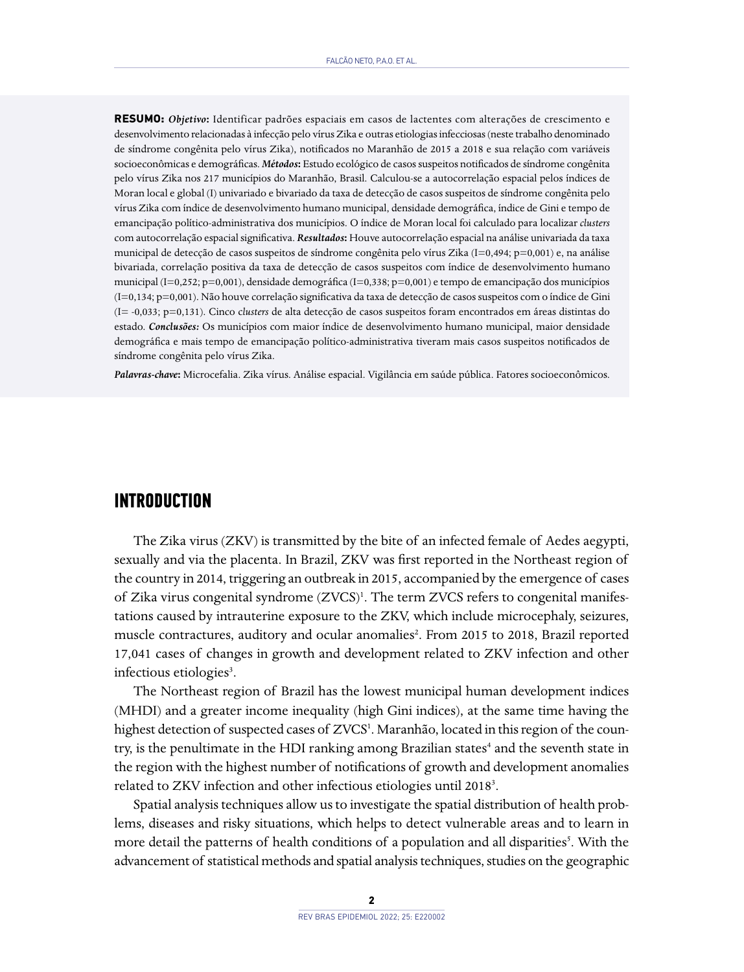**RESUMO:** *Objetivo***:** Identificar padrões espaciais em casos de lactentes com alterações de crescimento e desenvolvimento relacionadas à infecção pelo vírus Zika e outras etiologias infecciosas (neste trabalho denominado de síndrome congênita pelo vírus Zika), notificados no Maranhão de 2015 a 2018 e sua relação com variáveis socioeconômicas e demográficas. *Métodos***:** Estudo ecológico de casos suspeitos notificados de síndrome congênita pelo vírus Zika nos 217 municípios do Maranhão, Brasil. Calculou-se a autocorrelação espacial pelos índices de Moran local e global (I) univariado e bivariado da taxa de detecção de casos suspeitos de síndrome congênita pelo vírus Zika com índice de desenvolvimento humano municipal, densidade demográfica, índice de Gini e tempo de emancipação político-administrativa dos municípios. O índice de Moran local foi calculado para localizar *clusters*  com autocorrelação espacial significativa. *Resultados***:** Houve autocorrelação espacial na análise univariada da taxa municipal de detecção de casos suspeitos de síndrome congênita pelo vírus Zika (I=0,494; p=0,001) e, na análise bivariada, correlação positiva da taxa de detecção de casos suspeitos com índice de desenvolvimento humano municipal (I=0,252; p=0,001), densidade demográfica (I=0,338; p=0,001) e tempo de emancipação dos municípios (I=0,134; p=0,001). Não houve correlação significativa da taxa de detecção de casos suspeitos com o índice de Gini (I= -0,033; p=0,131). Cinco c*lusters* de alta detecção de casos suspeitos foram encontrados em áreas distintas do estado. *Conclusões:* Os municípios com maior índice de desenvolvimento humano municipal, maior densidade demográfica e mais tempo de emancipação político-administrativa tiveram mais casos suspeitos notificados de síndrome congênita pelo vírus Zika.

*Palavras-chave***:** Microcefalia. Zika vírus. Análise espacial. Vigilância em saúde pública. Fatores socioeconômicos.

### **INTRODUCTION**

The Zika virus (ZKV) is transmitted by the bite of an infected female of Aedes aegypti, sexually and via the placenta. In Brazil, ZKV was first reported in the Northeast region of the country in 2014, triggering an outbreak in 2015, accompanied by the emergence of cases of Zika virus congenital syndrome (ZVCS)<sup>1</sup>. The term ZVCS refers to congenital manifestations caused by intrauterine exposure to the ZKV, which include microcephaly, seizures, muscle contractures, auditory and ocular anomalies<sup>2</sup>. From 2015 to 2018, Brazil reported 17,041 cases of changes in growth and development related to ZKV infection and other infectious etiologies<sup>3</sup>.

The Northeast region of Brazil has the lowest municipal human development indices (MHDI) and a greater income inequality (high Gini indices), at the same time having the highest detection of suspected cases of ZVCS<sup>1</sup>. Maranhão, located in this region of the country, is the penultimate in the HDI ranking among Brazilian states<sup>4</sup> and the seventh state in the region with the highest number of notifications of growth and development anomalies related to ZKV infection and other infectious etiologies until 2018<sup>3</sup>.

Spatial analysis techniques allow us to investigate the spatial distribution of health problems, diseases and risky situations, which helps to detect vulnerable areas and to learn in more detail the patterns of health conditions of a population and all disparities<sup>5</sup>. With the advancement of statistical methods and spatial analysis techniques, studies on the geographic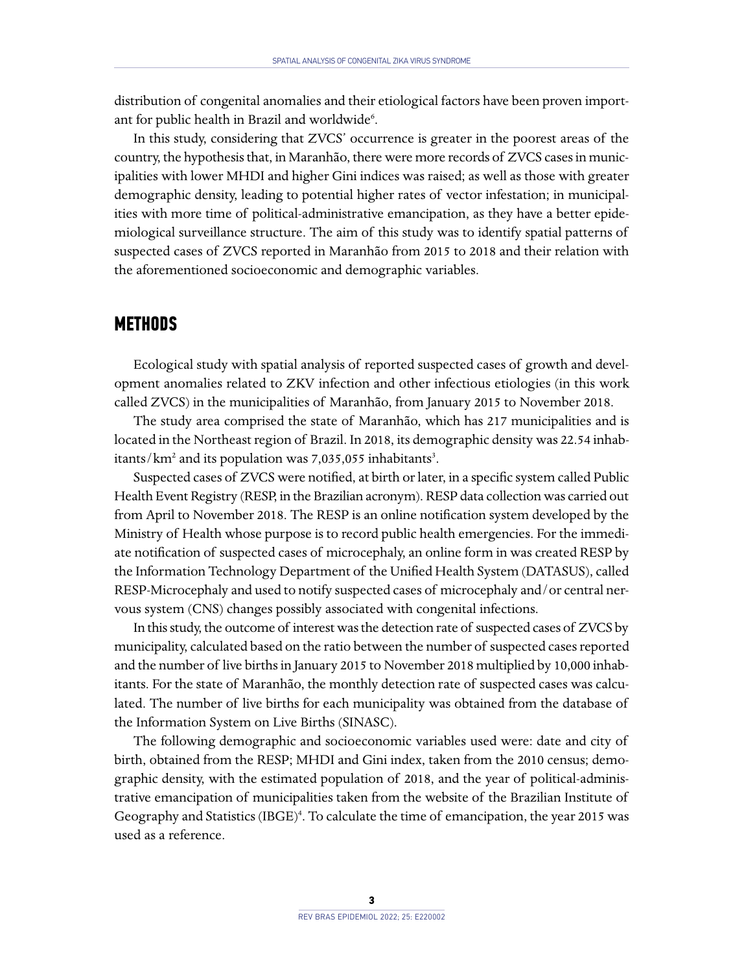distribution of congenital anomalies and their etiological factors have been proven important for public health in Brazil and worldwide<sup>6</sup>.

In this study, considering that ZVCS' occurrence is greater in the poorest areas of the country, the hypothesis that, in Maranhão, there were more records of ZVCS cases in municipalities with lower MHDI and higher Gini indices was raised; as well as those with greater demographic density, leading to potential higher rates of vector infestation; in municipalities with more time of political-administrative emancipation, as they have a better epidemiological surveillance structure. The aim of this study was to identify spatial patterns of suspected cases of ZVCS reported in Maranhão from 2015 to 2018 and their relation with the aforementioned socioeconomic and demographic variables.

#### **METHODS**

Ecological study with spatial analysis of reported suspected cases of growth and development anomalies related to ZKV infection and other infectious etiologies (in this work called ZVCS) in the municipalities of Maranhão, from January 2015 to November 2018.

The study area comprised the state of Maranhão, which has 217 municipalities and is located in the Northeast region of Brazil. In 2018, its demographic density was 22.54 inhabitants/km<sup>2</sup> and its population was 7,035,055 inhabitants<sup>3</sup>.

Suspected cases of ZVCS were notified, at birth or later, in a specific system called Public Health Event Registry (RESP, in the Brazilian acronym). RESP data collection was carried out from April to November 2018. The RESP is an online notification system developed by the Ministry of Health whose purpose is to record public health emergencies. For the immediate notification of suspected cases of microcephaly, an online form in was created RESP by the Information Technology Department of the Unified Health System (DATASUS), called RESP-Microcephaly and used to notify suspected cases of microcephaly and/or central nervous system (CNS) changes possibly associated with congenital infections.

In this study, the outcome of interest was the detection rate of suspected cases of ZVCS by municipality, calculated based on the ratio between the number of suspected cases reported and the number of live births in January 2015 to November 2018 multiplied by 10,000 inhabitants. For the state of Maranhão, the monthly detection rate of suspected cases was calculated. The number of live births for each municipality was obtained from the database of the Information System on Live Births (SINASC).

The following demographic and socioeconomic variables used were: date and city of birth, obtained from the RESP; MHDI and Gini index, taken from the 2010 census; demographic density, with the estimated population of 2018, and the year of political-administrative emancipation of municipalities taken from the website of the Brazilian Institute of Geography and Statistics (IBGE)<sup>4</sup>. To calculate the time of emancipation, the year 2015 was used as a reference.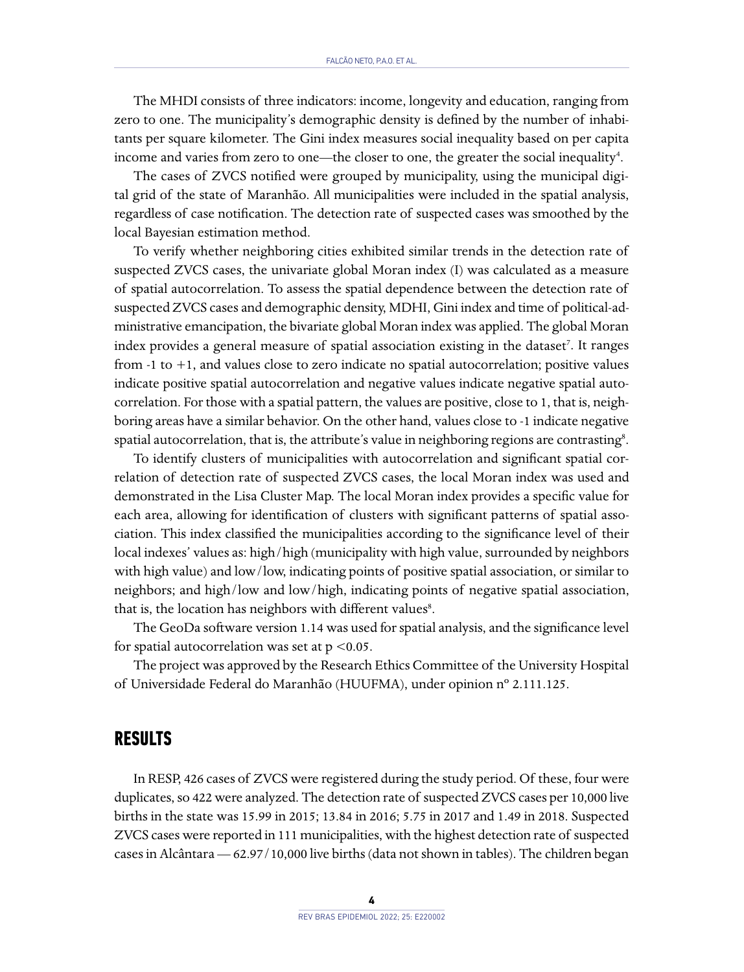The MHDI consists of three indicators: income, longevity and education, ranging from zero to one. The municipality's demographic density is defined by the number of inhabitants per square kilometer. The Gini index measures social inequality based on per capita income and varies from zero to one—the closer to one, the greater the social inequality<sup>4</sup>.

The cases of ZVCS notified were grouped by municipality, using the municipal digital grid of the state of Maranhão. All municipalities were included in the spatial analysis, regardless of case notification. The detection rate of suspected cases was smoothed by the local Bayesian estimation method.

To verify whether neighboring cities exhibited similar trends in the detection rate of suspected ZVCS cases, the univariate global Moran index (I) was calculated as a measure of spatial autocorrelation. To assess the spatial dependence between the detection rate of suspected ZVCS cases and demographic density, MDHI, Gini index and time of political-administrative emancipation, the bivariate global Moran index was applied. The global Moran index provides a general measure of spatial association existing in the dataset<sup>7</sup>. It ranges from -1 to +1, and values close to zero indicate no spatial autocorrelation; positive values indicate positive spatial autocorrelation and negative values indicate negative spatial autocorrelation. For those with a spatial pattern, the values are positive, close to 1, that is, neighboring areas have a similar behavior. On the other hand, values close to -1 indicate negative spatial autocorrelation, that is, the attribute's value in neighboring regions are contrasting<sup>8</sup>.

To identify clusters of municipalities with autocorrelation and significant spatial correlation of detection rate of suspected ZVCS cases, the local Moran index was used and demonstrated in the Lisa Cluster Map. The local Moran index provides a specific value for each area, allowing for identification of clusters with significant patterns of spatial association. This index classified the municipalities according to the significance level of their local indexes' values as: high/high (municipality with high value, surrounded by neighbors with high value) and low/low, indicating points of positive spatial association, or similar to neighbors; and high/low and low/high, indicating points of negative spatial association, that is, the location has neighbors with different values<sup>8</sup>.

The GeoDa software version 1.14 was used for spatial analysis, and the significance level for spatial autocorrelation was set at  $p < 0.05$ .

The project was approved by the Research Ethics Committee of the University Hospital of Universidade Federal do Maranhão (HUUFMA), under opinion nº 2.111.125.

### **RESULTS**

In RESP, 426 cases of ZVCS were registered during the study period. Of these, four were duplicates, so 422 were analyzed. The detection rate of suspected ZVCS cases per 10,000 live births in the state was 15.99 in 2015; 13.84 in 2016; 5.75 in 2017 and 1.49 in 2018. Suspected ZVCS cases were reported in 111 municipalities, with the highest detection rate of suspected cases in Alcântara — 62.97/10,000 live births (data not shown in tables). The children began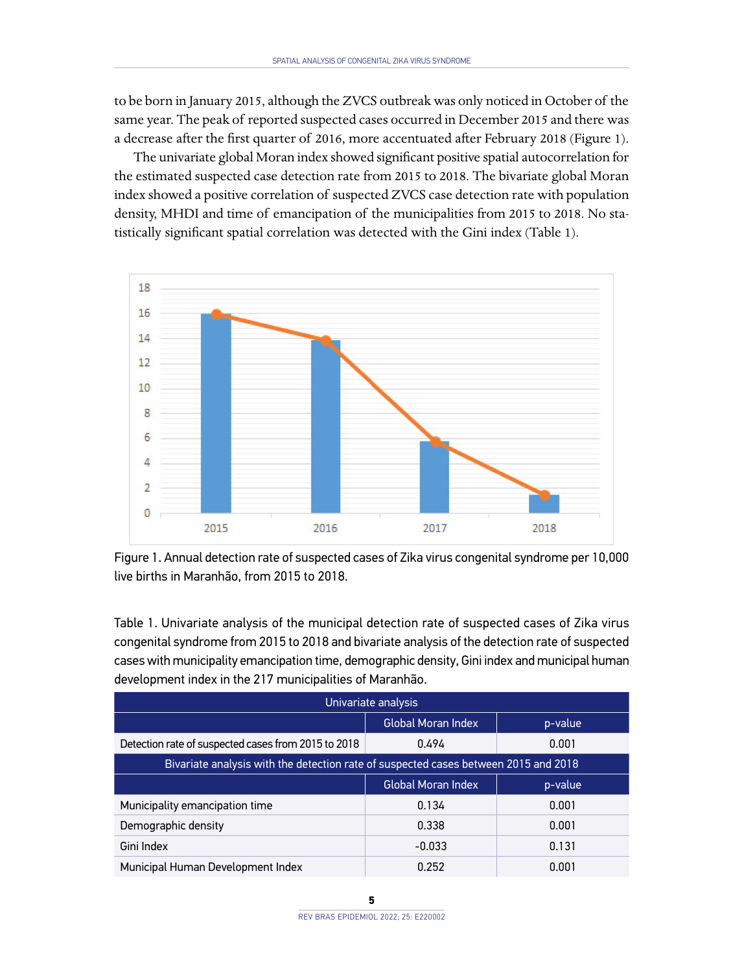to be born in January 2015, although the ZVCS outbreak was only noticed in October of the same year. The peak of reported suspected cases occurred in December 2015 and there was a decrease after the first quarter of 2016, more accentuated after February 2018 (Figure 1).

The univariate global Moran index showed significant positive spatial autocorrelation for the estimated suspected case detection rate from 2015 to 2018. The bivariate global Moran index showed a positive correlation of suspected ZVCS case detection rate with population density, MHDI and time of emancipation of the municipalities from 2015 to 2018. No statistically significant spatial correlation was detected with the Gini index (Table 1).



Figure 1. Annual detection rate of suspected cases of Zika virus congenital syndrome per 10,000 live births in Maranhão, from 2015 to 2018.

Table 1. Univariate analysis of the municipal detection rate of suspected cases of Zika virus congenital syndrome from 2015 to 2018 and bivariate analysis of the detection rate of suspected cases with municipality emancipation time, demographic density, Gini index and municipal human development index in the 217 municipalities of Maranhão.

| Univariate analysis                                                                 |                           |         |
|-------------------------------------------------------------------------------------|---------------------------|---------|
|                                                                                     | <b>Global Moran Index</b> | p-value |
| Detection rate of suspected cases from 2015 to 2018                                 | 0.494                     | 0.001   |
| Bivariate analysis with the detection rate of suspected cases between 2015 and 2018 |                           |         |
|                                                                                     | <b>Global Moran Index</b> | p-value |
| Municipality emancipation time                                                      | 0.134                     | 0.001   |
| Demographic density                                                                 | 0.338                     | 0.001   |
| Gini Index                                                                          | $-0.033$                  | 0.131   |
| Municipal Human Development Index                                                   | 0.252                     | 0.001   |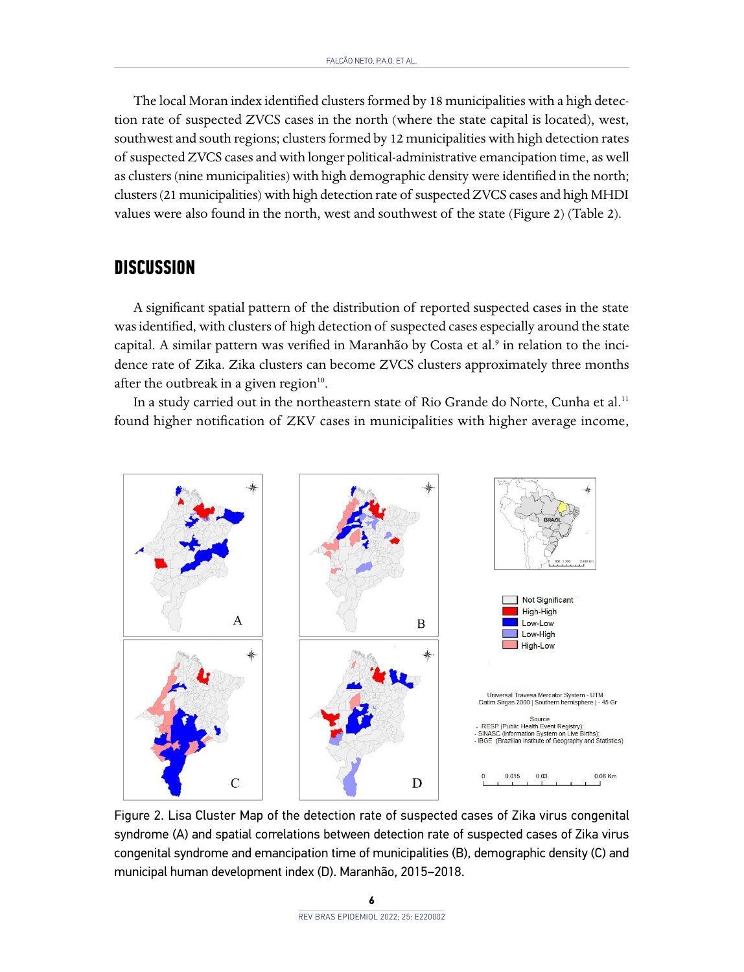The local Moran index identified clusters formed by 18 municipalities with a high detection rate of suspected ZVCS cases in the north (where the state capital is located), west, southwest and south regions; clusters formed by 12 municipalities with high detection rates of suspected ZVCS cases and with longer political-administrative emancipation time, as well as clusters (nine municipalities) with high demographic density were identified in the north; clusters (21 municipalities) with high detection rate of suspected ZVCS cases and high MHDI values were also found in the north, west and southwest of the state (Figure 2) (Table 2).

#### **DISCUSSION**

A significant spatial pattern of the distribution of reported suspected cases in the state was identified, with clusters of high detection of suspected cases especially around the state capital. A similar pattern was verified in Maranhão by Costa et al.<sup>9</sup> in relation to the incidence rate of Zika. Zika clusters can become ZVCS clusters approximately three months after the outbreak in a given region $10$ .

In a study carried out in the northeastern state of Rio Grande do Norte, Cunha et al.<sup>11</sup> found higher notification of ZKV cases in municipalities with higher average income,



Figure 2. Lisa Cluster Map of the detection rate of suspected cases of Zika virus congenital syndrome (A) and spatial correlations between detection rate of suspected cases of Zika virus congenital syndrome and emancipation time of municipalities (B), demographic density (C) and municipal human development index (D). Maranhão, 2015–2018.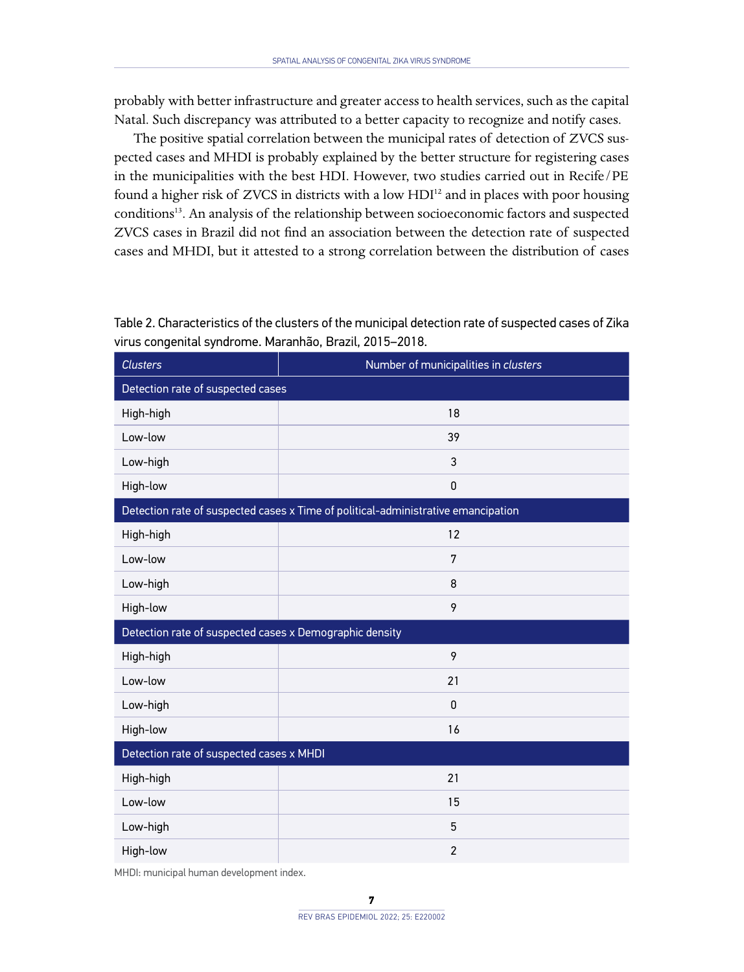probably with better infrastructure and greater access to health services, such as the capital Natal. Such discrepancy was attributed to a better capacity to recognize and notify cases.

The positive spatial correlation between the municipal rates of detection of ZVCS suspected cases and MHDI is probably explained by the better structure for registering cases in the municipalities with the best HDI. However, two studies carried out in Recife/PE found a higher risk of ZVCS in districts with a low HDI<sup>12</sup> and in places with poor housing conditions<sup>13</sup>. An analysis of the relationship between socioeconomic factors and suspected ZVCS cases in Brazil did not find an association between the detection rate of suspected cases and MHDI, but it attested to a strong correlation between the distribution of cases

Table 2. Characteristics of the clusters of the municipal detection rate of suspected cases of Zika virus congenital syndrome. Maranhão, Brazil, 2015–2018.

| <b>Clusters</b>                                                                   | Number of municipalities in clusters |  |
|-----------------------------------------------------------------------------------|--------------------------------------|--|
| Detection rate of suspected cases                                                 |                                      |  |
| High-high                                                                         | 18                                   |  |
| Low-low                                                                           | 39                                   |  |
| Low-high                                                                          | 3                                    |  |
| High-low                                                                          | 0                                    |  |
| Detection rate of suspected cases x Time of political-administrative emancipation |                                      |  |
| High-high                                                                         | 12                                   |  |
| Low-low                                                                           | 7                                    |  |
| Low-high                                                                          | 8                                    |  |
| High-low                                                                          | 9                                    |  |
| Detection rate of suspected cases x Demographic density                           |                                      |  |
| High-high                                                                         | 9                                    |  |
| Low-low                                                                           | 21                                   |  |
| Low-high                                                                          | 0                                    |  |
| High-low                                                                          | 16                                   |  |
| Detection rate of suspected cases x MHDI                                          |                                      |  |
| High-high                                                                         | 21                                   |  |
| Low-low                                                                           | 15                                   |  |
| Low-high                                                                          | 5                                    |  |
| High-low                                                                          | $\overline{2}$                       |  |

MHDI: municipal human development index.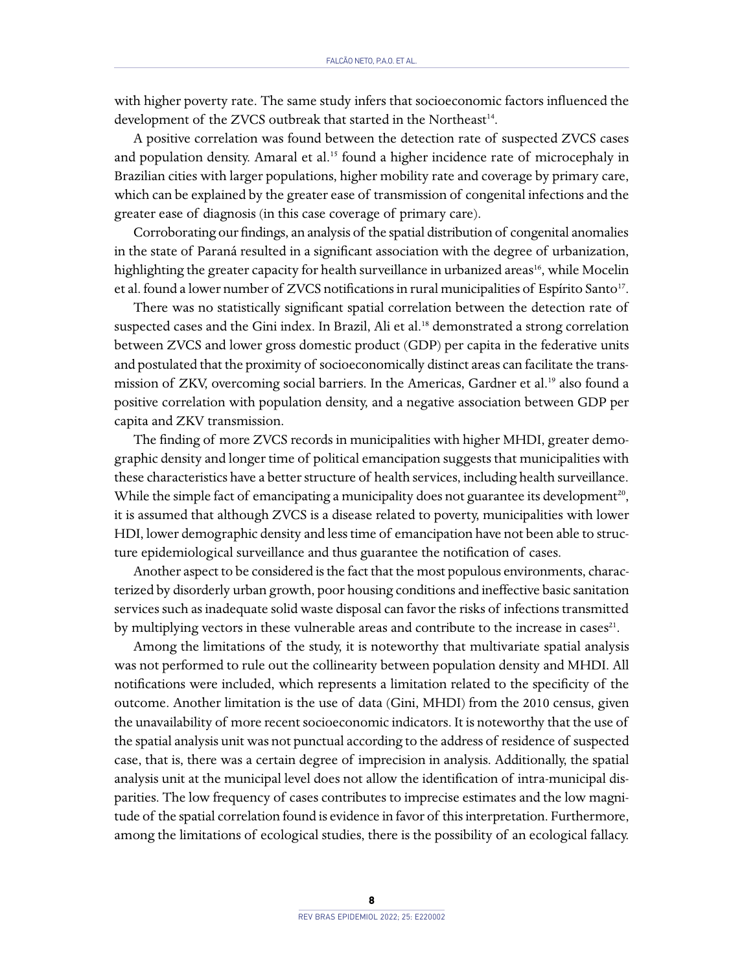with higher poverty rate. The same study infers that socioeconomic factors influenced the development of the ZVCS outbreak that started in the Northeast<sup>14</sup>.

A positive correlation was found between the detection rate of suspected ZVCS cases and population density. Amaral et al.<sup>15</sup> found a higher incidence rate of microcephaly in Brazilian cities with larger populations, higher mobility rate and coverage by primary care, which can be explained by the greater ease of transmission of congenital infections and the greater ease of diagnosis (in this case coverage of primary care).

Corroborating our findings, an analysis of the spatial distribution of congenital anomalies in the state of Paraná resulted in a significant association with the degree of urbanization, highlighting the greater capacity for health surveillance in urbanized areas<sup>16</sup>, while Mocelin et al. found a lower number of ZVCS notifications in rural municipalities of Espírito Santo<sup>17</sup>.

There was no statistically significant spatial correlation between the detection rate of suspected cases and the Gini index. In Brazil, Ali et al.<sup>18</sup> demonstrated a strong correlation between ZVCS and lower gross domestic product (GDP) per capita in the federative units and postulated that the proximity of socioeconomically distinct areas can facilitate the transmission of ZKV, overcoming social barriers. In the Americas, Gardner et al.19 also found a positive correlation with population density, and a negative association between GDP per capita and ZKV transmission.

The finding of more ZVCS records in municipalities with higher MHDI, greater demographic density and longer time of political emancipation suggests that municipalities with these characteristics have a better structure of health services, including health surveillance. While the simple fact of emancipating a municipality does not guarantee its development<sup>20</sup>, it is assumed that although ZVCS is a disease related to poverty, municipalities with lower HDI, lower demographic density and less time of emancipation have not been able to structure epidemiological surveillance and thus guarantee the notification of cases.

Another aspect to be considered is the fact that the most populous environments, characterized by disorderly urban growth, poor housing conditions and ineffective basic sanitation services such as inadequate solid waste disposal can favor the risks of infections transmitted by multiplying vectors in these vulnerable areas and contribute to the increase in cases<sup>21</sup>.

Among the limitations of the study, it is noteworthy that multivariate spatial analysis was not performed to rule out the collinearity between population density and MHDI. All notifications were included, which represents a limitation related to the specificity of the outcome. Another limitation is the use of data (Gini, MHDI) from the 2010 census, given the unavailability of more recent socioeconomic indicators. It is noteworthy that the use of the spatial analysis unit was not punctual according to the address of residence of suspected case, that is, there was a certain degree of imprecision in analysis. Additionally, the spatial analysis unit at the municipal level does not allow the identification of intra-municipal disparities. The low frequency of cases contributes to imprecise estimates and the low magnitude of the spatial correlation found is evidence in favor of this interpretation. Furthermore, among the limitations of ecological studies, there is the possibility of an ecological fallacy.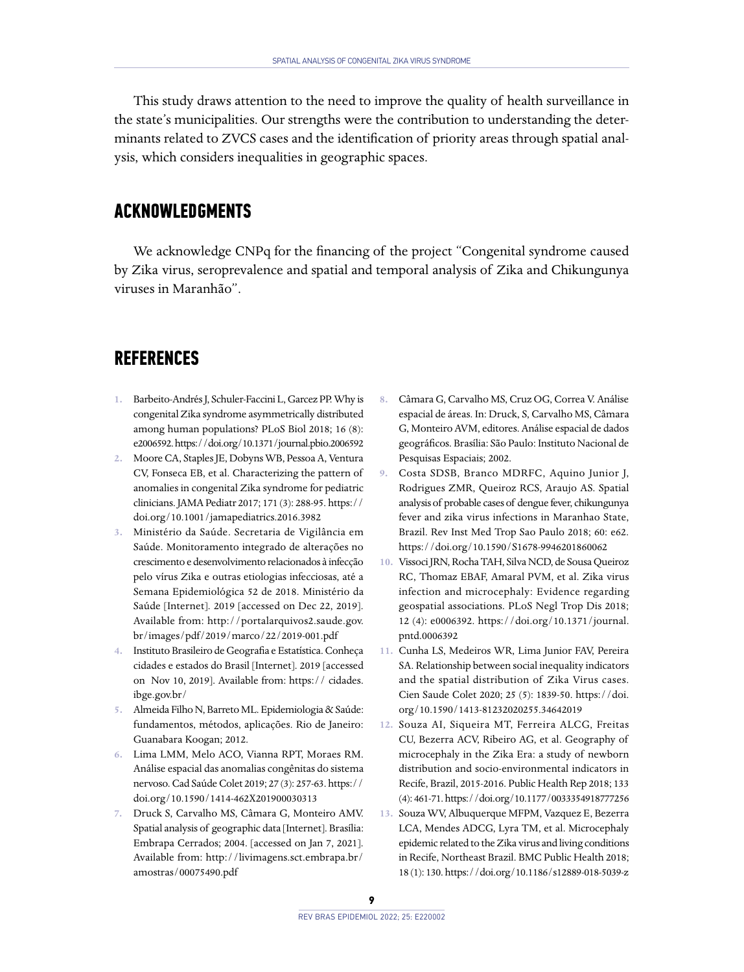This study draws attention to the need to improve the quality of health surveillance in the state's municipalities. Our strengths were the contribution to understanding the determinants related to ZVCS cases and the identification of priority areas through spatial analysis, which considers inequalities in geographic spaces.

### **ACKNOWLEDGMENTS**

We acknowledge CNPq for the financing of the project "Congenital syndrome caused by Zika virus, seroprevalence and spatial and temporal analysis of Zika and Chikungunya viruses in Maranhão".

## **REFERENCES**

- **1.** Barbeito-Andrés J, Schuler-Faccini L, Garcez PP. Why is congenital Zika syndrome asymmetrically distributed among human populations? PLoS Biol 2018; 16 (8): e2006592.<https://doi.org/10.1371/journal.pbio.2006592>
- **2.** Moore CA, Staples JE, Dobyns WB, Pessoa A, Ventura CV, Fonseca EB, et al. Characterizing the pattern of anomalies in congenital Zika syndrome for pediatric clinicians. JAMA Pediatr 2017; 171 (3): 288-95. [https://](https://doi.org/10.1001/jamapediatrics.2016.3982) [doi.org/10.1001/jamapediatrics.2016.3982](https://doi.org/10.1001/jamapediatrics.2016.3982)
- **3.** Ministério da Saúde. Secretaria de Vigilância em Saúde. Monitoramento integrado de alterações no crescimento e desenvolvimento relacionados à infecção pelo vírus Zika e outras etiologias infecciosas, até a Semana Epidemiológica 52 de 2018. Ministério da Saúde [Internet]. 2019 [accessed on Dec 22, 2019]. Available from: [http://portalarquivos2.saude.gov.](http://portalarquivos2.saude.gov.br/images/pdf/2019/marco/22/2019-001.pdf) [br/images/pdf/2019/marco/22/2019-001.pdf](http://portalarquivos2.saude.gov.br/images/pdf/2019/marco/22/2019-001.pdf)
- **4.** Instituto Brasileiro de Geografia e Estatística. Conheça cidades e estados do Brasil [Internet]. 2019 [accessed on Nov 10, 2019]. Available from: https:// [cidades.](http://cidades.ibge.gov.br/) [ibge.gov.br/](http://cidades.ibge.gov.br/)
- **5.** Almeida Filho N, Barreto ML. Epidemiologia & Saúde: fundamentos, métodos, aplicações. Rio de Janeiro: Guanabara Koogan; 2012.
- **6.** Lima LMM, Melo ACO, Vianna RPT, Moraes RM. Análise espacial das anomalias congênitas do sistema nervoso. Cad Saúde Colet 2019; 27 (3): 257-63. [https://](https://doi.org/10.1590/1414-462X201900030313) [doi.org/10.1590/1414-462X201900030313](https://doi.org/10.1590/1414-462X201900030313)
- **7.** Druck S, Carvalho MS, Câmara G, Monteiro AMV. Spatial analysis of geographic data [Internet]. Brasília: Embrapa Cerrados; 2004. [accessed on Jan 7, 2021]. Available from: [http://livimagens.sct.embrapa.br/](http://livimagens.sct.embrapa.br/amostras/00075490.pdf) [amostras/00075490.pdf](http://livimagens.sct.embrapa.br/amostras/00075490.pdf)
- **8.** Câmara G, Carvalho MS, Cruz OG, Correa V. Análise espacial de áreas. In: Druck, S, Carvalho MS, Câmara G, Monteiro AVM, editores. Análise espacial de dados geográficos. Brasília: São Paulo: Instituto Nacional de Pesquisas Espaciais; 2002.
- **9.** Costa SDSB, Branco MDRFC, Aquino Junior J, Rodrigues ZMR, Queiroz RCS, Araujo AS. Spatial analysis of probable cases of dengue fever, chikungunya fever and zika virus infections in Maranhao State, Brazil. Rev Inst Med Trop Sao Paulo 2018; 60: e62. <https://doi.org/10.1590/S1678-9946201860062>
- **10.** Vissoci JRN, Rocha TAH, Silva NCD, de Sousa Queiroz RC, Thomaz EBAF, Amaral PVM, et al. Zika virus infection and microcephaly: Evidence regarding geospatial associations. PLoS Negl Trop Dis 2018; 12 (4): e0006392. [https://doi.org/10.1371/journal.](https://doi.org/10.1371/journal.pntd.0006392) [pntd.0006392](https://doi.org/10.1371/journal.pntd.0006392)
- **11.** Cunha LS, Medeiros WR, Lima Junior FAV, Pereira SA. Relationship between social inequality indicators and the spatial distribution of Zika Virus cases. Cien Saude Colet 2020; 25 (5): 1839-50. [https://doi.](https://doi.org/10.1590/1413-81232020255.34642019) [org/10.1590/1413-81232020255.34642019](https://doi.org/10.1590/1413-81232020255.34642019)
- **12.** Souza AI, Siqueira MT, Ferreira ALCG, Freitas CU, Bezerra ACV, Ribeiro AG, et al. Geography of microcephaly in the Zika Era: a study of newborn distribution and socio-environmental indicators in Recife, Brazil, 2015-2016. Public Health Rep 2018; 133 (4): 461-71.<https://doi.org/10.1177/0033354918777256>
- **13.** Souza WV, Albuquerque MFPM, Vazquez E, Bezerra LCA, Mendes ADCG, Lyra TM, et al. Microcephaly epidemic related to the Zika virus and living conditions in Recife, Northeast Brazil. BMC Public Health 2018; 18 (1): 130.<https://doi.org/10.1186/s12889-018-5039-z>